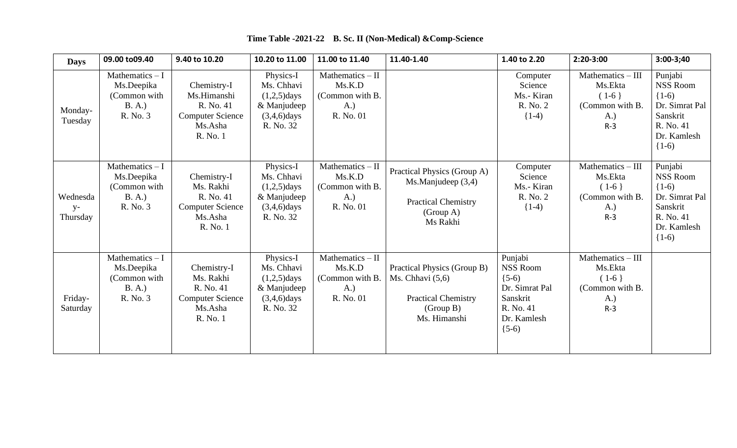| <b>Days</b>                  | 09.00 to09.40                                                       | 9.40 to 10.20                                                                             | 10.20 to 11.00                                                                          | 11.00 to 11.40                                                     | 11.40-1.40                                                                                                   | 1.40 to 2.20                                                                                               | $2:20-3:00$                                                                | $3:00-3;40$                                                                                                |
|------------------------------|---------------------------------------------------------------------|-------------------------------------------------------------------------------------------|-----------------------------------------------------------------------------------------|--------------------------------------------------------------------|--------------------------------------------------------------------------------------------------------------|------------------------------------------------------------------------------------------------------------|----------------------------------------------------------------------------|------------------------------------------------------------------------------------------------------------|
| Monday-<br>Tuesday           | Mathematics $-1$<br>Ms.Deepika<br>(Common with<br>B.A.)<br>R. No. 3 | Chemistry-I<br>Ms.Himanshi<br>R. No. 41<br><b>Computer Science</b><br>Ms.Asha<br>R. No. 1 | Physics-I<br>Ms. Chhavi<br>$(1,2,5)$ days<br>& Manjudeep<br>$(3,4,6)$ days<br>R. No. 32 | Mathematics $-$ II<br>Ms.K.D<br>(Common with B.<br>A.<br>R. No. 01 |                                                                                                              | Computer<br>Science<br>Ms.- Kiran<br>R. No. 2<br>$\{1-4\}$                                                 | Mathematics - III<br>Ms.Ekta<br>$(1-6)$<br>(Common with B.<br>A.)<br>$R-3$ | Punjabi<br>NSS Room<br>$(1-6)$<br>Dr. Simrat Pal<br>Sanskrit<br>R. No. 41<br>Dr. Kamlesh<br>$(1-6)$        |
| Wednesda<br>$y-$<br>Thursday | Mathematics $-1$<br>Ms.Deepika<br>(Common with<br>B. A.<br>R. No. 3 | Chemistry-I<br>Ms. Rakhi<br>R. No. 41<br><b>Computer Science</b><br>Ms.Asha<br>R. No. 1   | Physics-I<br>Ms. Chhavi<br>$(1,2,5)$ days<br>& Manjudeep<br>$(3,4,6)$ days<br>R. No. 32 | Mathematics - II<br>Ms.K.D<br>(Common with B.<br>A.)<br>R. No. 01  | Practical Physics (Group A)<br>Ms.Manjudeep (3,4)<br><b>Practical Chemistry</b><br>(Group A)<br>Ms Rakhi     | Computer<br>Science<br>Ms.- Kiran<br>R. No. 2<br>$\{1-4\}$                                                 | Mathematics - III<br>Ms.Ekta<br>$(1-6)$<br>(Common with B.<br>A.)<br>$R-3$ | Punjabi<br><b>NSS Room</b><br>$(1-6)$<br>Dr. Simrat Pal<br>Sanskrit<br>R. No. 41<br>Dr. Kamlesh<br>$(1-6)$ |
| Friday-<br>Saturday          | Mathematics $-I$<br>Ms.Deepika<br>(Common with<br>B. A.<br>R. No. 3 | Chemistry-I<br>Ms. Rakhi<br>R. No. 41<br><b>Computer Science</b><br>Ms.Asha<br>R. No. 1   | Physics-I<br>Ms. Chhavi<br>$(1,2,5)$ days<br>& Manjudeep<br>$(3,4,6)$ days<br>R. No. 32 | Mathematics - II<br>Ms.K.D<br>(Common with B<br>A.)<br>R. No. 01   | Practical Physics (Group B)<br>Ms. Chhavi $(5,6)$<br><b>Practical Chemistry</b><br>(Group B)<br>Ms. Himanshi | Punjabi<br><b>NSS Room</b><br>$(5-6)$<br>Dr. Simrat Pal<br>Sanskrit<br>R. No. 41<br>Dr. Kamlesh<br>$(5-6)$ | Mathematics - III<br>Ms.Ekta<br>$(1-6)$<br>(Common with B.<br>A.)<br>$R-3$ |                                                                                                            |

## **Time Table -2021-22 B. Sc. II (Non-Medical) &Comp-Science**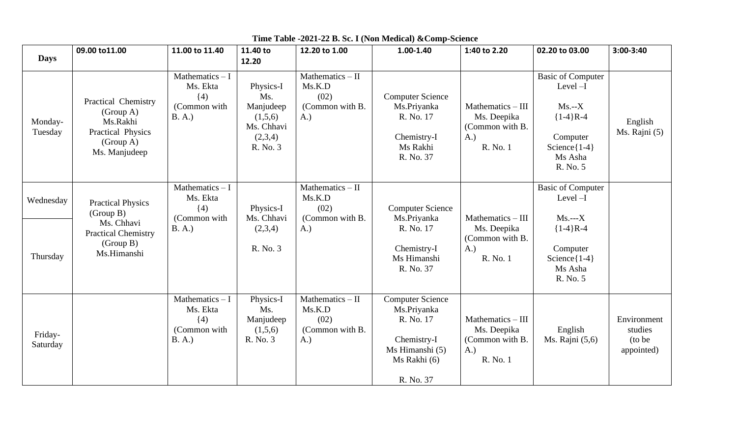|                     | 09.00 to 11.00                                                                                  | 11.00 to 11.40                                                   | 11.40 to                                                                      | 12.20 to 1.00                                                  | 1.00-1.40                                                                                                          | 1:40 to 2.20                                                            | 02.20 to 03.00                                                                                                         | $3:00-3:40$                                     |
|---------------------|-------------------------------------------------------------------------------------------------|------------------------------------------------------------------|-------------------------------------------------------------------------------|----------------------------------------------------------------|--------------------------------------------------------------------------------------------------------------------|-------------------------------------------------------------------------|------------------------------------------------------------------------------------------------------------------------|-------------------------------------------------|
| <b>Days</b>         |                                                                                                 |                                                                  | 12.20                                                                         |                                                                |                                                                                                                    |                                                                         |                                                                                                                        |                                                 |
| Monday-<br>Tuesday  | Practical Chemistry<br>(Group A)<br>Ms.Rakhi<br>Practical Physics<br>(Group A)<br>Ms. Manjudeep | Mathematics $-1$<br>Ms. Ekta<br>(4)<br>(Common with<br>B. A.)    | Physics-I<br>Ms.<br>Manjudeep<br>(1,5,6)<br>Ms. Chhavi<br>(2,3,4)<br>R. No. 3 | Mathematics $-$ II<br>Ms.K.D<br>(02)<br>(Common with B.<br>A.) | <b>Computer Science</b><br>Ms.Priyanka<br>R. No. 17<br>Chemistry-I<br>Ms Rakhi<br>R. No. 37                        | Mathematics $-$ III<br>Ms. Deepika<br>(Common with B.<br>A.<br>R. No. 1 | <b>Basic of Computer</b><br>$Level-I$<br>$Ms.-X$<br>${1-4}R-4$<br>Computer<br>Science $\{1-4\}$<br>Ms Asha<br>R. No. 5 | English<br>Ms. Rajni (5)                        |
| Wednesday           | <b>Practical Physics</b><br>(Group B)                                                           | Mathematics $-1$<br>Ms. Ekta<br>$\{4\}$                          | Physics-I                                                                     | Mathematics $-$ II<br>Ms.K.D<br>(02)                           | <b>Computer Science</b>                                                                                            |                                                                         | <b>Basic of Computer</b><br>$Level-I$                                                                                  |                                                 |
| Thursday            | Ms. Chhavi<br><b>Practical Chemistry</b><br>(Group B)<br>Ms.Himanshi                            | (Common with<br>B. A.)                                           | Ms. Chhavi<br>(2,3,4)<br>R. No. 3                                             | (Common with B.<br>A.)                                         | Ms.Priyanka<br>R. No. 17<br>Chemistry-I<br>Ms Himanshi<br>R. No. 37                                                | Mathematics - III<br>Ms. Deepika<br>(Common with B.<br>A.<br>R. No. 1   | $Ms. -- X$<br>${1-4}R-4$<br>Computer<br>Science $\{1-4\}$<br>Ms Asha<br>R. No. 5                                       |                                                 |
| Friday-<br>Saturday |                                                                                                 | Mathematics $-I$<br>Ms. Ekta<br>$\{4\}$<br>(Common with<br>B.A.) | Physics-I<br>Ms.<br>Manjudeep<br>(1,5,6)<br>R. No. 3                          | Mathematics - II<br>Ms.K.D<br>(02)<br>(Common with B.<br>A.)   | <b>Computer Science</b><br>Ms.Priyanka<br>R. No. 17<br>Chemistry-I<br>Ms Himanshi (5)<br>Ms Rakhi (6)<br>R. No. 37 | Mathematics - III<br>Ms. Deepika<br>(Common with B.<br>A.<br>R. No. 1   | English<br>Ms. Rajni (5,6)                                                                                             | Environment<br>studies<br>(to be)<br>appointed) |

## **Time Table -2021-22 B. Sc. I (Non Medical) &Comp-Science**